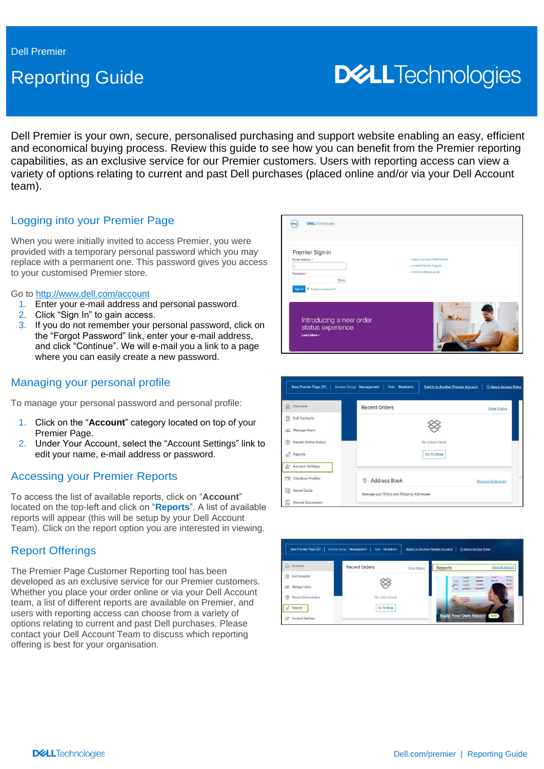# Reporting Guide

# **DELL**Technologies

Dell Premier is your own, secure, personalised purchasing and support website enabling an easy, efficient and economical buying process. Review this guide to see how you can benefit from the Premier reporting capabilities, as an exclusive service for our Premier customers. Users with reporting access can view a variety of options relating to current and past Dell purchases (placed online and/or via your Dell Account team).

# Logging into your Premier Page

When you were initially invited to access Premier, you were provided with a temporary personal password which you may replace with a permanent one. This password gives you access to your customised Premier store.

#### Go to<http://www.dell.com/account>

- 1. Enter your e-mail address and personal password.
- 2. Click "Sign In" to gain access.
- 3. If you do not remember your personal password, click on the "Forgot Password" link, enter your e-mail address, and click "Continue". We will e-mail you a link to a page where you can easily create a new password.

### Managing your personal profile

To manage your personal password and personal profile:

- 1. Click on the "**Account**" category located on top of your Premier Page.
- 2. Under Your Account, select the "Account Settings" link to edit your name, e-mail address or password.

# Accessing your Premier Reports

To access the list of available reports, click on "**Account**" located on the top-left and click on "**Reports**". A list of available reports will appear (this will be setup by your Dell Account Team). Click on the report option you are interested in viewing.

#### Report Offerings

The Premier Page Customer Reporting tool has been developed as an exclusive service for our Premier customers. Whether you place your order online or via your Dell Account team, a list of different reports are available on Premier, and users with reporting access can choose from a variety of options relating to current and past Dell purchases. Please contact your Dell Account Team to discuss which reporting offering is best for your organisation.





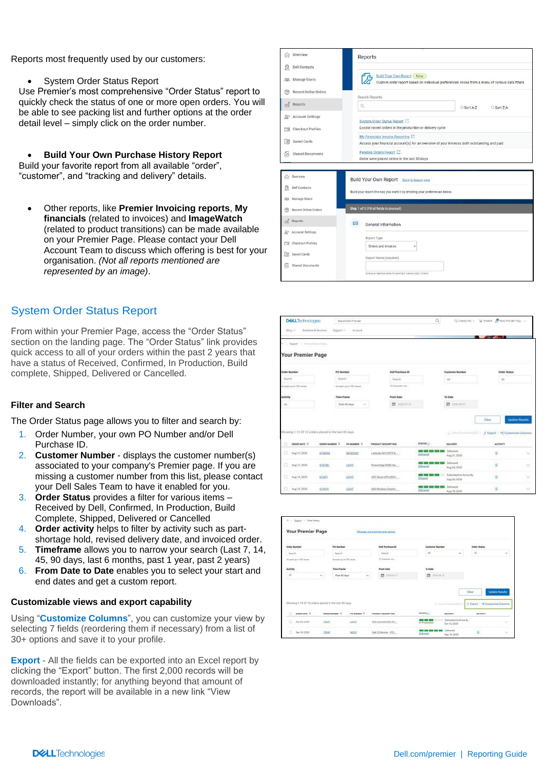Reports most frequently used by our customers:

• System Order Status Report

Use Premier's most comprehensive "Order Status" report to quickly check the status of one or more open orders. You will be able to see packing list and further options at the order detail level – simply click on the order number.

• **Build Your Own Purchase History Report**  Build your favorite report from all available "order", "customer", and "tracking and delivery" details.

• Other reports, like **Premier Invoicing reports**, **My financials** (related to invoices) and **ImageWatch** (related to product transitions) can be made available on your Premier Page. Please contact your Dell Account Team to discuss which offering is best for your organisation. *(Not all reports mentioned are represented by an image)*.

# System Order Status Report

From within your Premier Page, access the "Order Status" section on the landing page. The "Order Status" link provides quick access to all of your orders within the past 2 years that have a status of Received, Confirmed, In Production, Build complete, Shipped, Delivered or Cancelled.

#### **Filter and Search**

The Order Status page allows you to filter and search by:

- 1. Order Number, your own PO Number and/or Dell Purchase ID.
- 2. **Customer Number** displays the customer number(s) associated to your company's Premier page. If you are missing a customer number from this list, please contact your Dell Sales Team to have it enabled for you.
- 3. **Order Status** provides a filter for various items Received by Dell, Confirmed, In Production, Build Complete, Shipped, Delivered or Cancelled
- 4. **Order activity** helps to filter by activity such as partshortage hold, revised delivery date, and invoiced order.
- 5. **Timeframe** allows you to narrow your search (Last 7, 14, 45, 90 days, last 6 months, past 1 year, past 2 years)
- 6. **From Date to Date** enables you to select your start and end dates and get a custom report.

#### **Customizable views and export capability**

Using "**Customize Columns**", you can customize your view by selecting 7 fields (reordering them if necessary) from a list of 30+ options and save it to your profile.

**Export** - All the fields can be exported into an Excel report by clicking the "Export" button. The first 2,000 records will be downloaded instantly; for anything beyond that amount of records, the report will be available in a new link "View Downloads".

| ſηÌ                      | Overview                                                                                                                                          | Reports                                                                                                                           |  |  |  |  |  |
|--------------------------|---------------------------------------------------------------------------------------------------------------------------------------------------|-----------------------------------------------------------------------------------------------------------------------------------|--|--|--|--|--|
| Q                        | <b>Dell Contacts</b>                                                                                                                              |                                                                                                                                   |  |  |  |  |  |
| 883                      | Manage Users                                                                                                                                      | <b>Build Your Own Report New</b><br>Custom order report based on individual preferences chose from a menu of various data filters |  |  |  |  |  |
| 6₹                       | <b>Recent Online Orders</b>                                                                                                                       | Search Reports                                                                                                                    |  |  |  |  |  |
| 葡                        | Reports                                                                                                                                           | Q<br>○ Sort A-Z<br>○ Sort Z-A                                                                                                     |  |  |  |  |  |
| $A^*$                    | <b>Account Settings</b>                                                                                                                           | System Order Status Report                                                                                                        |  |  |  |  |  |
| $\overline{\phantom{a}}$ | Locate recent orders in the production or delivery cycle<br><b>Checkout Profiles</b>                                                              |                                                                                                                                   |  |  |  |  |  |
| $\overline{\mathcal{S}}$ | My Financials Invoice Reporting [2]<br>Saved Cards<br>Access your financial account(s) for an overview of your invoices both outstanding and paid |                                                                                                                                   |  |  |  |  |  |
| ľä                       | Pending Orders Report [2]<br><b>Shared Documents</b><br>Order were placed online in the last 30 days                                              |                                                                                                                                   |  |  |  |  |  |
|                          |                                                                                                                                                   |                                                                                                                                   |  |  |  |  |  |
|                          |                                                                                                                                                   |                                                                                                                                   |  |  |  |  |  |
| (n)                      | Overview                                                                                                                                          | Build Your Own Report Back to legacy view                                                                                         |  |  |  |  |  |
| ର                        | <b>Dell Contacts</b>                                                                                                                              | Build your report the way you want it by entering your preferences below.                                                         |  |  |  |  |  |
| <b>Sep</b>               | Manage Users                                                                                                                                      |                                                                                                                                   |  |  |  |  |  |
| 6                        | Recent Online Orders                                                                                                                              | Step 1 of 3 (Fill all fields to proceed)                                                                                          |  |  |  |  |  |
| $\hat{m}$                | Reports                                                                                                                                           | <b>DE</b><br>General Information                                                                                                  |  |  |  |  |  |
|                          | <sub>2</sub> <sup>™</sup> Account Settings                                                                                                        |                                                                                                                                   |  |  |  |  |  |
| ▭                        | <b>Checkout Profiles</b>                                                                                                                          | Report Type<br>Orders and Invoices                                                                                                |  |  |  |  |  |
| $\sqrt{5}$               | Saved Cards                                                                                                                                       | Report Name (required)                                                                                                            |  |  |  |  |  |
| f3                       | Shared Documents                                                                                                                                  |                                                                                                                                   |  |  |  |  |  |

| <b>DGLLTechnologies</b>                              |                                   | Search Dell Premier        |                         | Q                                              | $\Omega$ Contact Us $\sim$                | R Basket & New Premier Pag.                           |                        |
|------------------------------------------------------|-----------------------------------|----------------------------|-------------------------|------------------------------------------------|-------------------------------------------|-------------------------------------------------------|------------------------|
| Shop v                                               | Solutions & Services<br>Support y | Account                    |                         |                                                |                                           |                                                       |                        |
| 1. L. Sayert<br>11 Practice Standard States          |                                   |                            |                         |                                                |                                           | $\sim$                                                |                        |
| <b>Your Premier Page</b>                             |                                   |                            |                         |                                                |                                           |                                                       |                        |
| Order Number                                         |                                   | PO Number                  | <b>Dell Purchase ID</b> |                                                | <b>Customer Number</b>                    | <b>Order Status</b>                                   |                        |
| Search                                               |                                   | <b>Beach</b>               | Teanth                  |                                                | AB                                        | $\lambda$ di                                          |                        |
| Boneple car to 100 values.                           |                                   | Boreagin ag to 100 rature. | 12 sharacter min.       |                                                |                                           |                                                       |                        |
| Activity                                             |                                   | <b>Time Frame</b>          | <b>From Date</b>        |                                                |                                           |                                                       |                        |
| M                                                    |                                   | Fast 45 days<br>$\sim$     | m sono                  |                                                | <b>EX DESCRIPTION</b>                     |                                                       |                        |
|                                                      |                                   |                            |                         |                                                |                                           | Clear                                                 | <b>Lipdate Results</b> |
| Showing 1-12 Of 12 orders placed in the last 45 days |                                   |                            |                         |                                                |                                           | A. Vincillominatelli 1 2 Export 1 4 Customize Columns |                        |
| o.<br><b>ORDER DATE -2</b>                           | <b>CROER MIMBER -2</b>            | <b>PO NUMBER 2</b>         | PRODUCT DESCRIPTION     | STATUS (2)                                     | <b>DELIVERY</b>                           | <b>ACTIVITY</b>                                       |                        |
| O.<br>Aug 17, 2030                                   | 5740093                           | MC01006                    | Latrade S410 BTX B      | <b>CASE AND DOGS HOM CAS</b><br><b>Debugai</b> | Delivered<br>Aug 21, 3920                 | ğ,                                                    | ÷                      |
| o<br>Aug 17, 2025                                    | 6742567                           | 1/0197                     | PowerFolge R540.5er     | --<br>Dallmered                                | <b>Delivered</b><br>Aug 24, 2020          | z)                                                    | 36                     |
| ۰<br>Aug 13, 2028                                    | 2014<br>67M76                     | uoid                       | APC Beck UPS 600Y       | --<br>Shaped                                   | Estumated bis Airline By<br>Paig 24, 2020 | $\overline{u}$                                        | $\sim$                 |
| n.<br>Aug 13, 2020                                   | ATMZE                             | <b>UCHT</b>                | Dall Winstons Dealer.   | -----<br>Delivated                             | Delivered<br>Aug 16, 2020                 | $\frac{1}{2}$                                         | $\sim$                 |